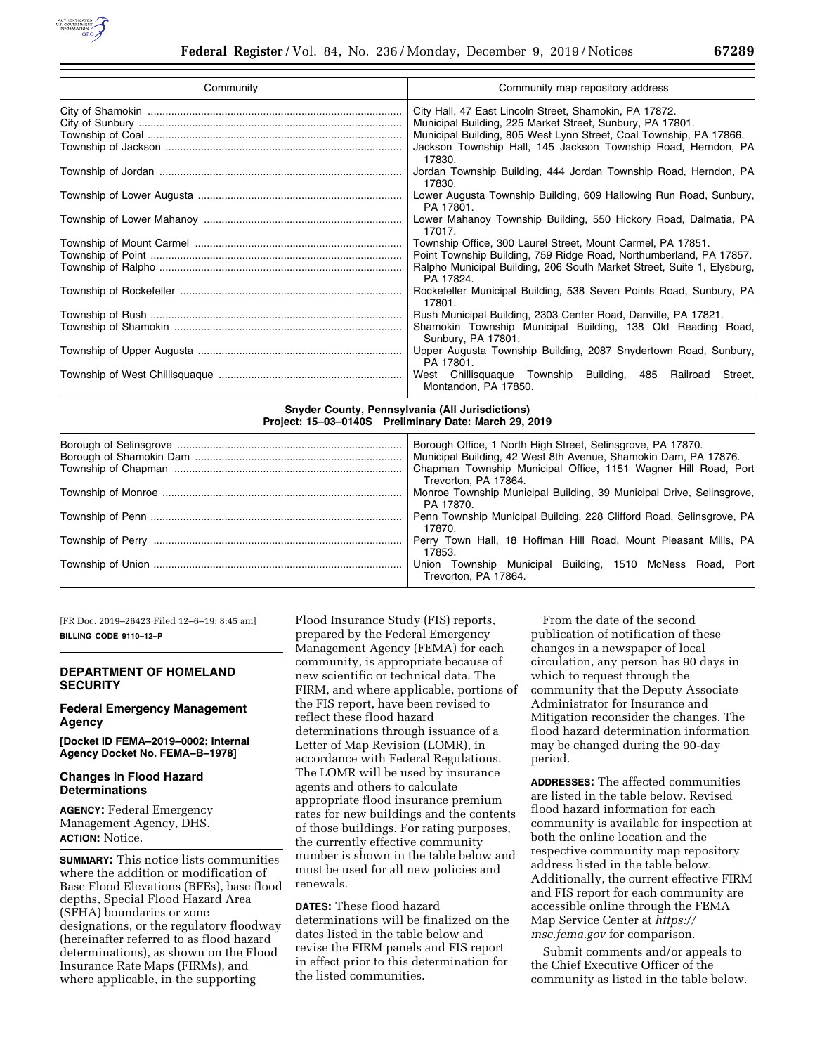

| Community | Community map repository address                                                         |  |  |  |  |
|-----------|------------------------------------------------------------------------------------------|--|--|--|--|
|           | City Hall, 47 East Lincoln Street, Shamokin, PA 17872.                                   |  |  |  |  |
|           | Municipal Building, 225 Market Street, Sunbury, PA 17801.                                |  |  |  |  |
|           | Municipal Building, 805 West Lynn Street, Coal Township, PA 17866.                       |  |  |  |  |
|           | Jackson Township Hall, 145 Jackson Township Road, Herndon, PA<br>17830.                  |  |  |  |  |
|           | Jordan Township Building, 444 Jordan Township Road, Herndon, PA<br>17830.                |  |  |  |  |
|           | Lower Augusta Township Building, 609 Hallowing Run Road, Sunbury,<br>PA 17801.           |  |  |  |  |
|           | Lower Mahanoy Township Building, 550 Hickory Road, Dalmatia, PA<br>17017.                |  |  |  |  |
|           | Township Office, 300 Laurel Street, Mount Carmel, PA 17851.                              |  |  |  |  |
|           | Point Township Building, 759 Ridge Road, Northumberland, PA 17857.                       |  |  |  |  |
|           | Ralpho Municipal Building, 206 South Market Street, Suite 1, Elysburg,<br>PA 17824.      |  |  |  |  |
|           | Rockefeller Municipal Building, 538 Seven Points Road, Sunbury, PA<br>17801.             |  |  |  |  |
|           | Rush Municipal Building, 2303 Center Road, Danville, PA 17821.                           |  |  |  |  |
|           | Shamokin Township Municipal Building, 138 Old Reading Road,<br>Sunbury, PA 17801.        |  |  |  |  |
|           | Upper Augusta Township Building, 2087 Snydertown Road, Sunbury,<br>PA 17801.             |  |  |  |  |
|           | West Chillisquaque Township Building, 485<br>Railroad<br>Street,<br>Montandon, PA 17850. |  |  |  |  |

**Snyder County, Pennsylvania (All Jurisdictions) Project: 15–03–0140S Preliminary Date: March 29, 2019** 

| Borough Office, 1 North High Street, Selinsgrove, PA 17870.                       |  |  |  |  |
|-----------------------------------------------------------------------------------|--|--|--|--|
| Municipal Building, 42 West 8th Avenue, Shamokin Dam, PA 17876.                   |  |  |  |  |
| Chapman Township Municipal Office, 1151 Wagner Hill Road, Port                    |  |  |  |  |
| Trevorton, PA 17864.                                                              |  |  |  |  |
| Monroe Township Municipal Building, 39 Municipal Drive, Selinsgrove,<br>PA 17870. |  |  |  |  |
| Penn Township Municipal Building, 228 Clifford Road, Selinsgrove, PA              |  |  |  |  |
| 17870.                                                                            |  |  |  |  |
| Perry Town Hall, 18 Hoffman Hill Road, Mount Pleasant Mills, PA                   |  |  |  |  |
| 17853.                                                                            |  |  |  |  |
| Union Township Municipal Building, 1510 McNess Road, Port                         |  |  |  |  |
| Trevorton, PA 17864.                                                              |  |  |  |  |
|                                                                                   |  |  |  |  |

[FR Doc. 2019–26423 Filed 12–6–19; 8:45 am] **BILLING CODE 9110–12–P** 

# **DEPARTMENT OF HOMELAND SECURITY**

# **Federal Emergency Management Agency**

**[Docket ID FEMA–2019–0002; Internal Agency Docket No. FEMA–B–1978]** 

# **Changes in Flood Hazard Determinations**

**AGENCY:** Federal Emergency Management Agency, DHS. **ACTION:** Notice.

**SUMMARY:** This notice lists communities where the addition or modification of Base Flood Elevations (BFEs), base flood depths, Special Flood Hazard Area (SFHA) boundaries or zone designations, or the regulatory floodway (hereinafter referred to as flood hazard determinations), as shown on the Flood Insurance Rate Maps (FIRMs), and where applicable, in the supporting

Flood Insurance Study (FIS) reports, prepared by the Federal Emergency Management Agency (FEMA) for each community, is appropriate because of new scientific or technical data. The FIRM, and where applicable, portions of the FIS report, have been revised to reflect these flood hazard determinations through issuance of a Letter of Map Revision (LOMR), in accordance with Federal Regulations. The LOMR will be used by insurance agents and others to calculate appropriate flood insurance premium rates for new buildings and the contents of those buildings. For rating purposes, the currently effective community number is shown in the table below and must be used for all new policies and renewals.

**DATES:** These flood hazard determinations will be finalized on the dates listed in the table below and revise the FIRM panels and FIS report in effect prior to this determination for the listed communities.

From the date of the second publication of notification of these changes in a newspaper of local circulation, any person has 90 days in which to request through the community that the Deputy Associate Administrator for Insurance and Mitigation reconsider the changes. The flood hazard determination information may be changed during the 90-day period.

**ADDRESSES:** The affected communities are listed in the table below. Revised flood hazard information for each community is available for inspection at both the online location and the respective community map repository address listed in the table below. Additionally, the current effective FIRM and FIS report for each community are accessible online through the FEMA Map Service Center at *[https://](https://msc.fema.gov) [msc.fema.gov](https://msc.fema.gov)* for comparison.

Submit comments and/or appeals to the Chief Executive Officer of the community as listed in the table below.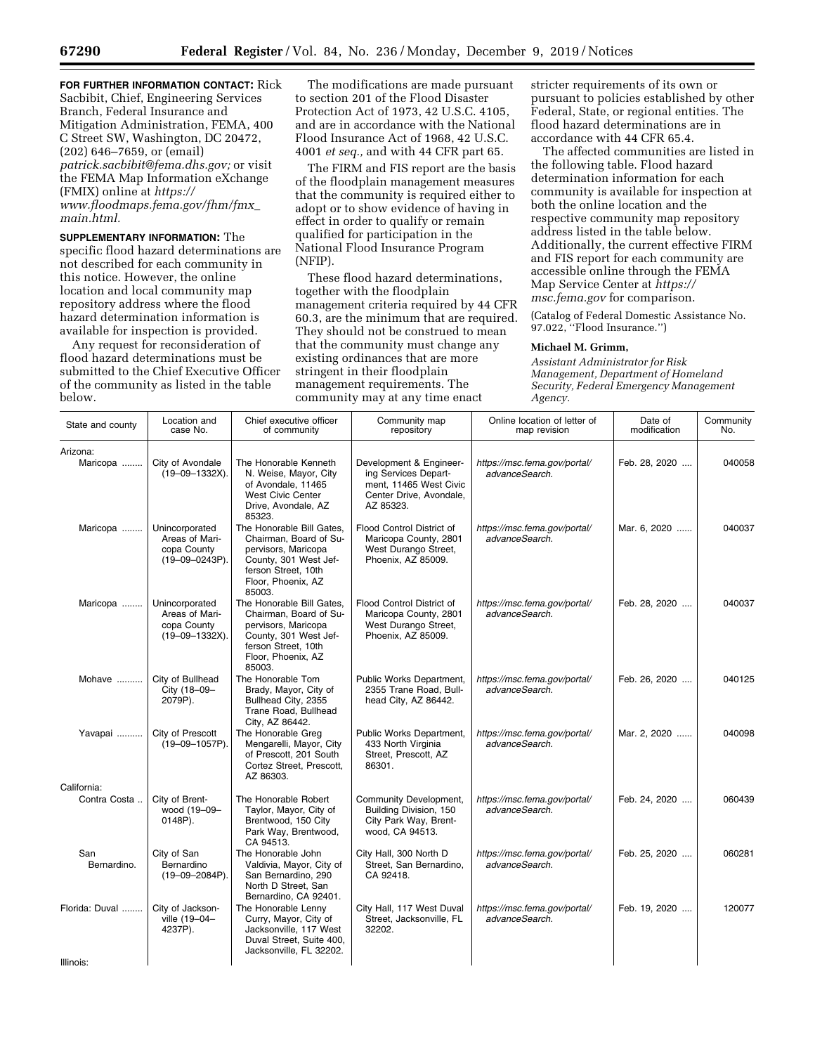**FOR FURTHER INFORMATION CONTACT:** Rick Sacbibit, Chief, Engineering Services Branch, Federal Insurance and Mitigation Administration, FEMA, 400 C Street SW, Washington, DC 20472, (202) 646–7659, or (email) *[patrick.sacbibit@fema.dhs.gov;](mailto:patrick.sacbibit@fema.dhs.gov)* or visit the FEMA Map Information eXchange (FMIX) online at *[https://](https://www.floodmaps.fema.gov/fhm/fmx_main.html) [www.floodmaps.fema.gov/fhm/fmx](https://www.floodmaps.fema.gov/fhm/fmx_main.html)*\_ *[main.html.](https://www.floodmaps.fema.gov/fhm/fmx_main.html)* 

**SUPPLEMENTARY INFORMATION:** The specific flood hazard determinations are not described for each community in this notice. However, the online location and local community map repository address where the flood hazard determination information is available for inspection is provided.

Any request for reconsideration of flood hazard determinations must be submitted to the Chief Executive Officer of the community as listed in the table below.

The modifications are made pursuant to section 201 of the Flood Disaster Protection Act of 1973, 42 U.S.C. 4105, and are in accordance with the National Flood Insurance Act of 1968, 42 U.S.C. 4001 *et seq.,* and with 44 CFR part 65.

The FIRM and FIS report are the basis of the floodplain management measures that the community is required either to adopt or to show evidence of having in effect in order to qualify or remain qualified for participation in the National Flood Insurance Program (NFIP).

These flood hazard determinations, together with the floodplain management criteria required by 44 CFR 60.3, are the minimum that are required. They should not be construed to mean that the community must change any existing ordinances that are more stringent in their floodplain management requirements. The community may at any time enact

stricter requirements of its own or pursuant to policies established by other Federal, State, or regional entities. The flood hazard determinations are in accordance with 44 CFR 65.4.

The affected communities are listed in the following table. Flood hazard determination information for each community is available for inspection at both the online location and the respective community map repository address listed in the table below. Additionally, the current effective FIRM and FIS report for each community are accessible online through the FEMA Map Service Center at *[https://](https://msc.fema.gov) [msc.fema.gov](https://msc.fema.gov)* for comparison.

(Catalog of Federal Domestic Assistance No. 97.022, ''Flood Insurance.'')

### **Michael M. Grimm,**

*Assistant Administrator for Risk Management, Department of Homeland Security, Federal Emergency Management Agency.* 

| State and county   | Location and<br>case No.                                                 | Chief executive officer<br>of community                                                                                                                    | Community map<br>repository                                                                                       | Online location of letter of<br>map revision   | Date of<br>modification | Community<br>No. |
|--------------------|--------------------------------------------------------------------------|------------------------------------------------------------------------------------------------------------------------------------------------------------|-------------------------------------------------------------------------------------------------------------------|------------------------------------------------|-------------------------|------------------|
| Arizona:           |                                                                          |                                                                                                                                                            |                                                                                                                   |                                                |                         |                  |
| Maricopa           | City of Avondale<br>$(19 - 09 - 1332X)$ .                                | The Honorable Kenneth<br>N. Weise, Mayor, City<br>of Avondale, 11465<br>West Civic Center<br>Drive, Avondale, AZ<br>85323.                                 | Development & Engineer-<br>ing Services Depart-<br>ment, 11465 West Civic<br>Center Drive, Avondale,<br>AZ 85323. | https://msc.fema.gov/portal/<br>advanceSearch. | Feb. 28, 2020           | 040058           |
| Maricopa           | Unincorporated<br>Areas of Mari-<br>copa County<br>(19-09-0243P).        | The Honorable Bill Gates,<br>Chairman, Board of Su-<br>pervisors, Maricopa<br>County, 301 West Jef-<br>ferson Street, 10th<br>Floor, Phoenix, AZ<br>85003. | Flood Control District of<br>Maricopa County, 2801<br>West Durango Street,<br>Phoenix, AZ 85009.                  | https://msc.fema.gov/portal/<br>advanceSearch. | Mar. 6, 2020            | 040037           |
| Maricopa           | Unincorporated<br>Areas of Mari-<br>copa County<br>$(19 - 09 - 1332X)$ . | The Honorable Bill Gates.<br>Chairman, Board of Su-<br>pervisors, Maricopa<br>County, 301 West Jef-<br>ferson Street, 10th<br>Floor, Phoenix, AZ<br>85003. | Flood Control District of<br>Maricopa County, 2801<br>West Durango Street,<br>Phoenix, AZ 85009.                  | https://msc.fema.gov/portal/<br>advanceSearch. | Feb. 28, 2020           | 040037           |
| Mohave             | City of Bullhead<br>City (18-09-<br>2079P).                              | The Honorable Tom<br>Brady, Mayor, City of<br>Bullhead City, 2355<br>Trane Road, Bullhead<br>City, AZ 86442.                                               | Public Works Department,<br>2355 Trane Road, Bull-<br>head City, AZ 86442.                                        | https://msc.fema.gov/portal/<br>advanceSearch. | Feb. 26, 2020           | 040125           |
| Yavapai            | City of Prescott<br>(19-09-1057P).                                       | The Honorable Greg<br>Mengarelli, Mayor, City<br>of Prescott, 201 South<br>Cortez Street, Prescott,<br>AZ 86303.                                           | Public Works Department,<br>433 North Virginia<br>Street, Prescott, AZ<br>86301.                                  | https://msc.fema.gov/portal/<br>advanceSearch. | Mar. 2, 2020            | 040098           |
| California:        |                                                                          |                                                                                                                                                            |                                                                                                                   |                                                |                         |                  |
| Contra Costa       | City of Brent-<br>wood (19-09-<br>0148P).                                | The Honorable Robert<br>Taylor, Mayor, City of<br>Brentwood, 150 City<br>Park Way, Brentwood,<br>CA 94513.                                                 | Community Development,<br>Building Division, 150<br>City Park Way, Brent-<br>wood, CA 94513.                      | https://msc.fema.gov/portal/<br>advanceSearch. | Feb. 24, 2020           | 060439           |
| San<br>Bernardino. | City of San<br>Bernardino<br>$(19 - 09 - 2084P)$ .                       | The Honorable John<br>Valdivia, Mayor, City of<br>San Bernardino, 290<br>North D Street, San<br>Bernardino, CA 92401.                                      | City Hall, 300 North D<br>Street, San Bernardino,<br>CA 92418.                                                    | https://msc.fema.gov/portal/<br>advanceSearch. | Feb. 25, 2020           | 060281           |
| Florida: Duval     | City of Jackson-<br>ville (19-04-<br>4237P).                             | The Honorable Lenny<br>Curry, Mayor, City of<br>Jacksonville, 117 West<br>Duval Street, Suite 400,<br>Jacksonville, FL 32202.                              | City Hall, 117 West Duval<br>Street, Jacksonville, FL<br>32202.                                                   | https://msc.fema.gov/portal/<br>advanceSearch. | Feb. 19, 2020           | 120077           |
| Illinois:          |                                                                          |                                                                                                                                                            |                                                                                                                   |                                                |                         |                  |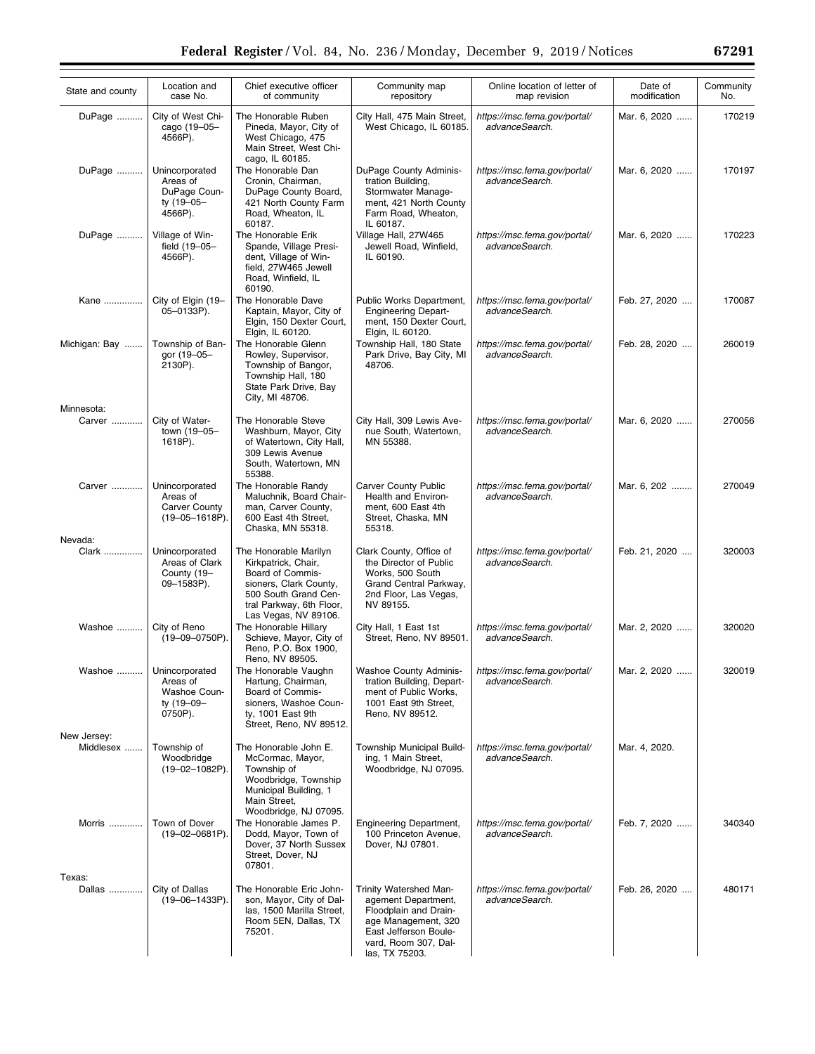| State and county     | Location and<br>case No.                                                    | Chief executive officer<br>of community                                                                                                                                | Community map<br>repository                                                                                                                                      | Online location of letter of<br>map revision   | Date of<br>modification | Community<br>No. |
|----------------------|-----------------------------------------------------------------------------|------------------------------------------------------------------------------------------------------------------------------------------------------------------------|------------------------------------------------------------------------------------------------------------------------------------------------------------------|------------------------------------------------|-------------------------|------------------|
| DuPage               | City of West Chi-<br>cago (19-05-<br>4566P).                                | The Honorable Ruben<br>Pineda, Mayor, City of<br>West Chicago, 475<br>Main Street, West Chi-<br>cago, IL 60185.                                                        | City Hall, 475 Main Street,<br>West Chicago, IL 60185.                                                                                                           | https://msc.fema.gov/portal/<br>advanceSearch. | Mar. 6, 2020            | 170219           |
| DuPage               | Unincorporated<br>Areas of<br>DuPage Coun-<br>ty (19-05-<br>4566P).         | The Honorable Dan<br>Cronin, Chairman,<br>DuPage County Board,<br>421 North County Farm<br>Road, Wheaton, IL<br>60187.                                                 | DuPage County Adminis-<br>tration Building,<br>Stormwater Manage-<br>ment, 421 North County<br>Farm Road, Wheaton,<br>IL 60187.                                  | https://msc.fema.gov/portal/<br>advanceSearch. | Mar. 6, 2020            | 170197           |
| DuPage               | Village of Win-<br>field (19-05-<br>4566P).                                 | The Honorable Erik<br>Spande, Village Presi-<br>dent, Village of Win-<br>field, 27W465 Jewell<br>Road, Winfield, IL<br>60190.                                          | Village Hall, 27W465<br>Jewell Road, Winfield,<br>IL 60190.                                                                                                      | https://msc.fema.gov/portal/<br>advanceSearch. | Mar. 6, 2020            | 170223           |
| Kane                 | City of Elgin (19-<br>05-0133P).                                            | The Honorable Dave<br>Kaptain, Mayor, City of<br>Elgin, 150 Dexter Court,<br>Elgin, IL 60120.                                                                          | Public Works Department,<br><b>Engineering Depart-</b><br>ment, 150 Dexter Court,<br>Elgin, IL 60120.                                                            | https://msc.fema.gov/portal/<br>advanceSearch. | Feb. 27, 2020           | 170087           |
| Michigan: Bay        | Township of Ban-<br>gor (19-05-<br>2130P).                                  | The Honorable Glenn<br>Rowley, Supervisor,<br>Township of Bangor,<br>Township Hall, 180<br>State Park Drive, Bay<br>City, MI 48706.                                    | Township Hall, 180 State<br>Park Drive, Bay City, MI<br>48706.                                                                                                   | https://msc.fema.gov/portal/<br>advanceSearch. | Feb. 28, 2020           | 260019           |
| Minnesota:<br>Carver | City of Water-<br>town (19-05-<br>1618P).                                   | The Honorable Steve<br>Washburn, Mayor, City<br>of Watertown, City Hall,<br>309 Lewis Avenue<br>South, Watertown, MN<br>55388.                                         | City Hall, 309 Lewis Ave-<br>nue South, Watertown,<br>MN 55388.                                                                                                  | https://msc.fema.gov/portal/<br>advanceSearch. | Mar. 6, 2020            | 270056           |
| Carver               | Unincorporated<br>Areas of<br><b>Carver County</b><br>$(19 - 05 - 1618P)$ . | The Honorable Randy<br>Maluchnik, Board Chair-<br>man, Carver County,<br>600 East 4th Street,<br>Chaska, MN 55318.                                                     | <b>Carver County Public</b><br>Health and Environ-<br>ment, 600 East 4th<br>Street, Chaska, MN<br>55318.                                                         | https://msc.fema.gov/portal/<br>advanceSearch. | Mar. 6, 202             | 270049           |
| Nevada:              |                                                                             |                                                                                                                                                                        |                                                                                                                                                                  |                                                |                         |                  |
| Clark                | Unincorporated<br>Areas of Clark<br>County (19-<br>09-1583P).               | The Honorable Marilyn<br>Kirkpatrick, Chair,<br>Board of Commis-<br>sioners, Clark County,<br>500 South Grand Cen-<br>tral Parkway, 6th Floor,<br>Las Vegas, NV 89106. | Clark County, Office of<br>the Director of Public<br>Works, 500 South<br>Grand Central Parkway,<br>2nd Floor, Las Vegas,<br>NV 89155.                            | https://msc.fema.gov/portal/<br>advanceSearch. | Feb. 21, 2020           | 320003           |
| Washoe               | City of Reno<br>(19-09-0750P).                                              | The Honorable Hillary<br>Schieve, Mayor, City of<br>Reno, P.O. Box 1900,<br>Reno, NV 89505.                                                                            | City Hall, 1 East 1st<br>Street, Reno, NV 89501.                                                                                                                 | https://msc.fema.gov/portal/<br>advanceSearch. | Mar. 2, 2020            | 320020           |
| Washoe               | Unincorporated<br>Areas of<br>Washoe Coun-<br>ty (19-09-<br>0750P).         | The Honorable Vaughn<br>Hartung, Chairman,<br>Board of Commis-<br>sioners, Washoe Coun-<br>ty, 1001 East 9th<br>Street, Reno, NV 89512.                                | <b>Washoe County Adminis-</b><br>tration Building, Depart-<br>ment of Public Works,<br>1001 East 9th Street,<br>Reno, NV 89512.                                  | https://msc.fema.gov/portal/<br>advanceSearch. | Mar. 2, 2020            | 320019           |
| New Jersey:          |                                                                             |                                                                                                                                                                        |                                                                                                                                                                  |                                                |                         |                  |
| Middlesex            | Township of<br>Woodbridge<br>$(19 - 02 - 1082P)$ .                          | The Honorable John E.<br>McCormac, Mayor,<br>Township of<br>Woodbridge, Township<br>Municipal Building, 1<br>Main Street,<br>Woodbridge, NJ 07095.                     | Township Municipal Build-<br>ing, 1 Main Street,<br>Woodbridge, NJ 07095.                                                                                        | https://msc.fema.gov/portal/<br>advanceSearch. | Mar. 4, 2020.           |                  |
| Morris               | Town of Dover<br>$(19 - 02 - 0681P)$ .                                      | The Honorable James P.<br>Dodd, Mayor, Town of<br>Dover, 37 North Sussex<br>Street, Dover, NJ<br>07801.                                                                | Engineering Department,<br>100 Princeton Avenue,<br>Dover, NJ 07801.                                                                                             | https://msc.fema.gov/portal/<br>advanceSearch. | Feb. 7, 2020            | 340340           |
| Texas:<br>Dallas     | City of Dallas<br>(19-06-1433P).                                            | The Honorable Eric John-<br>son, Mayor, City of Dal-<br>las, 1500 Marilla Street,<br>Room 5EN, Dallas, TX<br>75201.                                                    | Trinity Watershed Man-<br>agement Department,<br>Floodplain and Drain-<br>age Management, 320<br>East Jefferson Boule-<br>vard, Room 307, Dal-<br>las, TX 75203. | https://msc.fema.gov/portal/<br>advanceSearch. | Feb. 26, 2020           | 480171           |